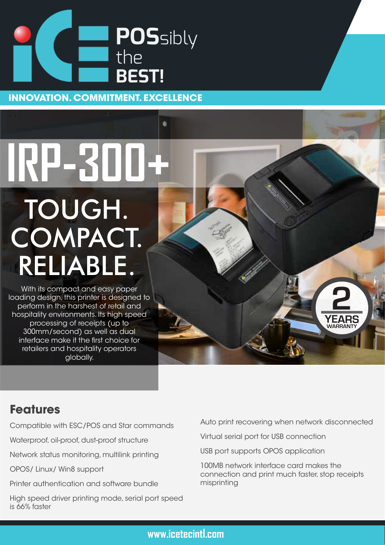

**INNOVATION. COMMITMENT. EXCELLENCE**

٠

## **IRP-300+** TOUGH. COMPACT. RELIABLE.

With its compact and easy paper loading design, this printer is designed to perform in the harshest of retail and hospitality environments. Its high speed processing of receipts (up to 300mm/second) as well as dual interface make it the first choice for retailers and hospitality operators globally.

## **Features**

Compatible with ESC/POS and Star commands

Waterproof, oil-proof, dust-proof structure

Network status monitoring, multilink printing

OPOS/ Linux/ Win8 support

Printer authentication and software bundle

High speed driver printing mode, serial port speed is 66% faster

Auto print recovering when network disconnected

**WARRANTY**

**YEARS**

**2**

Virtual serial port for USB connection

USB port supports OPOS application

100MB network interface card makes the connection and print much faster, stop receipts misprinting

## **www.icetecintl.com**